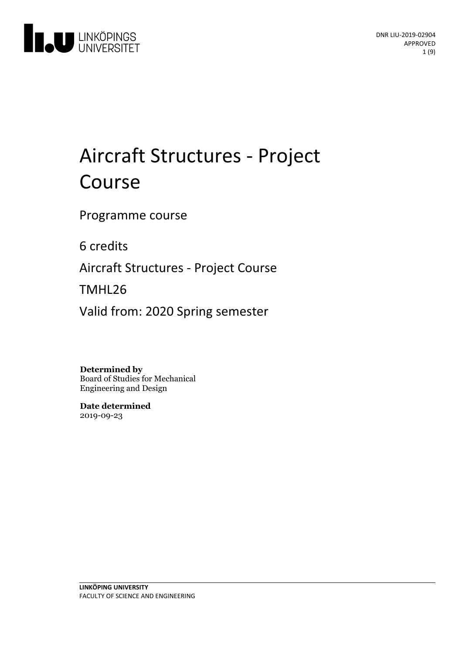

# Aircraft Structures - Project Course

Programme course

6 credits

Aircraft Structures - Project Course

TMHL26

Valid from: 2020 Spring semester

**Determined by**

Board of Studies for Mechanical Engineering and Design

**Date determined** 2019-09-23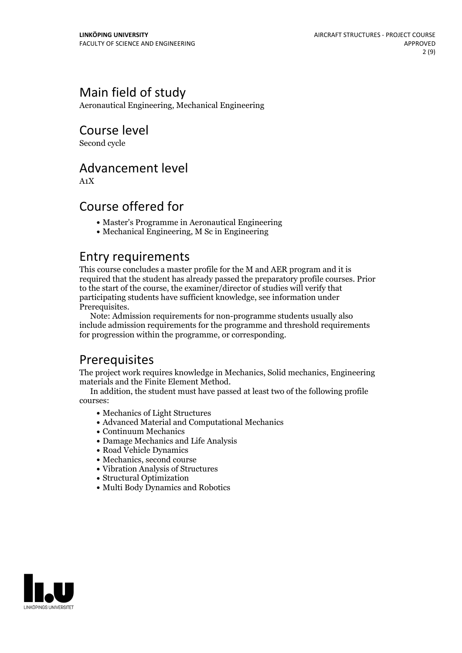# Main field of study

Aeronautical Engineering, Mechanical Engineering

# Course level

Second cycle

### Advancement level

A1X

# Course offered for

- Master's Programme in Aeronautical Engineering
- Mechanical Engineering, M Sc in Engineering

### Entry requirements

This course concludes a master profile for the M and AER program and it is required that the student has already passed the preparatory profile courses. Prior to the start of the course, the examiner/director of studies will verify that participating students have sufficient knowledge, see information under

Prerequisites.<br> Note: Admission requirements for non-programme students usually also include admission requirements for the programme and threshold requirements for progression within the programme, or corresponding.

# **Prerequisites**

The project work requires knowledge in Mechanics, Solid mechanics, Engineering

In addition, the student must have passed at least two of the following profile courses:

- Mechanics of Light Structures
- Advanced Material and Computational Mechanics
- Continuum Mechanics
- Damage Mechanics and Life Analysis
- Road Vehicle Dynamics
- Mechanics, second course
- Vibration Analysis of Structures
- Structural Optimization
- Multi Body Dynamics and Robotics

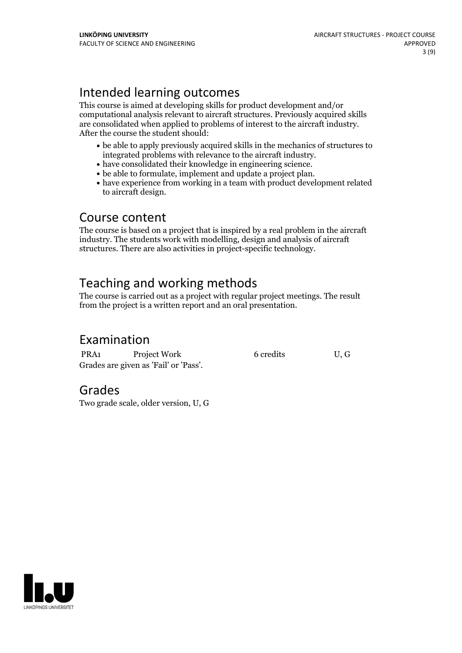# Intended learning outcomes

This course is aimed at developing skills for product development and/or computational analysis relevant to aircraft structures. Previously acquired skills are consolidated when applied to problems of interest to the aircraft industry. After the course the student should:

- be able to apply previously acquired skills in the mechanics of structures to integrated problems with relevance to the aircraft industry.<br>• have consolidated their knowledge in engineering science.<br>• be able to formulate, implement and update a project plan.<br>• have experience from working in a team
- 
- 
- to aircraft design.

### Course content

The course is based on a project that is inspired by a real problem in the aircraft industry. The students work with modelling, design and analysis of aircraft structures. There are also activities in project-specific technology.

# Teaching and working methods

The course is carried out as a project with regular project meetings. The result from the project is a written report and an oral presentation.

# Examination

PRA1 Project Work 6 credits U, G Grades are given as'Fail' or 'Pass'.

### Grades

Two grade scale, older version, U, G

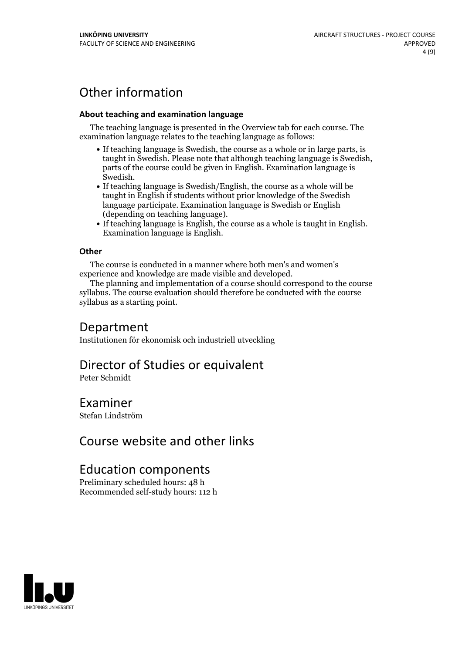# Other information

#### **About teaching and examination language**

The teaching language is presented in the Overview tab for each course. The examination language relates to the teaching language as follows:

- If teaching language is Swedish, the course as a whole or in large parts, is taught in Swedish. Please note that although teaching language is Swedish, parts of the course could be given in English. Examination language is
- Swedish.<br>• If teaching language is Swedish/English, the course as a whole will be taught in English if students without prior knowledge of the Swedish language participate. Examination language is Swedish or English
- $\bullet$  If teaching language is English, the course as a whole is taught in English. Examination language is English.

#### **Other**

The course is conducted in a manner where both men's and women's

experience and knowledge are made visible and developed. The planning and implementation of <sup>a</sup> course should correspond to the course syllabus. The course evaluation should therefore be conducted with the course syllabus as a starting point.

### Department

Institutionen för ekonomisk och industriell utveckling

### Director of Studies or equivalent

Peter Schmidt

### Examiner

Stefan Lindström

# Course website and other links

# Education components

Preliminary scheduled hours: 48 h Recommended self-study hours: 112 h

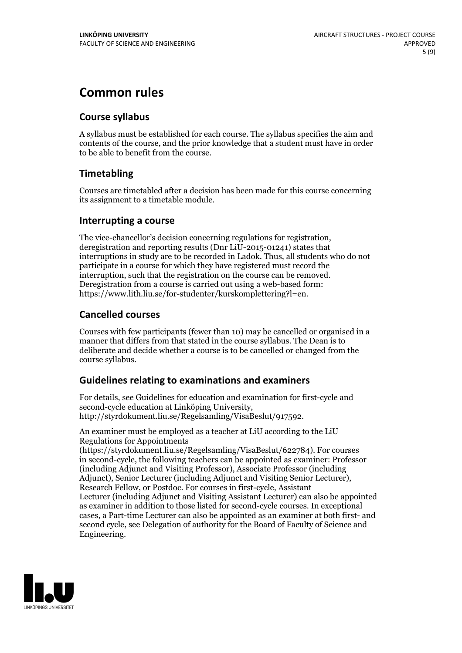# **Common rules**

#### **Course syllabus**

A syllabus must be established for each course. The syllabus specifies the aim and contents of the course, and the prior knowledge that a student must have in order to be able to benefit from the course.

### **Timetabling**

Courses are timetabled after a decision has been made for this course concerning its assignment to a timetable module.

#### **Interrupting a course**

The vice-chancellor's decision concerning regulations for registration, deregistration and reporting results (Dnr LiU-2015-01241) states that interruptions in study are to be recorded in Ladok. Thus, all students who do not participate in a course for which they have registered must record the interruption, such that the registration on the course can be removed. Deregistration from <sup>a</sup> course is carried outusing <sup>a</sup> web-based form: https://www.lith.liu.se/for-studenter/kurskomplettering?l=en.

### **Cancelled courses**

Courses with few participants (fewer than 10) may be cancelled or organised in a manner that differs from that stated in the course syllabus. The Dean is to deliberate and decide whether a course is to be cancelled or changed from the course syllabus.

### **Guidelines relatingto examinations and examiners**

For details, see Guidelines for education and examination for first-cycle and second-cycle education at Linköping University, http://styrdokument.liu.se/Regelsamling/VisaBeslut/917592.

An examiner must be employed as a teacher at LiU according to the LiU Regulations for Appointments

(https://styrdokument.liu.se/Regelsamling/VisaBeslut/622784). For courses in second-cycle, the following teachers can be appointed as examiner: Professor (including Adjunct and Visiting Professor), Associate Professor (including Adjunct), Senior Lecturer (including Adjunct and Visiting Senior Lecturer), Research Fellow, or Postdoc. For courses in first-cycle, Assistant Lecturer (including Adjunct and Visiting Assistant Lecturer) can also be appointed as examiner in addition to those listed for second-cycle courses. In exceptional cases, a Part-time Lecturer can also be appointed as an examiner at both first- and second cycle, see Delegation of authority for the Board of Faculty of Science and Engineering.

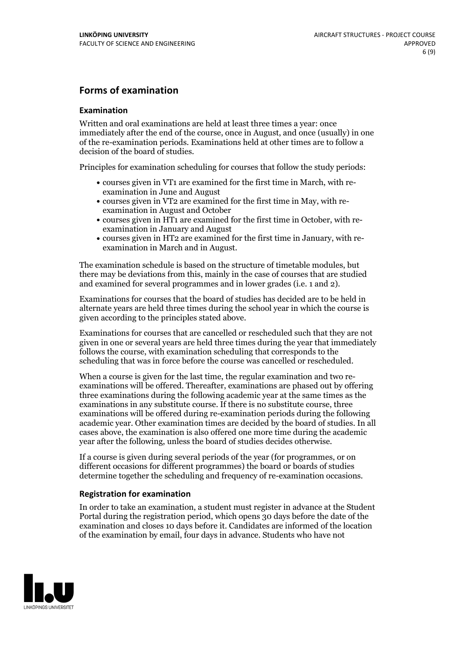#### **Forms of examination**

#### **Examination**

Written and oral examinations are held at least three times a year: once immediately after the end of the course, once in August, and once (usually) in one of the re-examination periods. Examinations held at other times are to follow a decision of the board of studies.

Principles for examination scheduling for courses that follow the study periods:

- courses given in VT1 are examined for the first time in March, with re-examination in June and August
- courses given in VT2 are examined for the first time in May, with re-examination in August and October
- courses given in HT1 are examined for the first time in October, with re-examination in January and August
- courses given in HT2 are examined for the first time in January, with re-examination in March and in August.

The examination schedule is based on the structure of timetable modules, but there may be deviations from this, mainly in the case of courses that are studied and examined for several programmes and in lower grades (i.e. 1 and 2).

Examinations for courses that the board of studies has decided are to be held in alternate years are held three times during the school year in which the course is given according to the principles stated above.

Examinations for courses that are cancelled orrescheduled such that they are not given in one or several years are held three times during the year that immediately follows the course, with examination scheduling that corresponds to the scheduling that was in force before the course was cancelled or rescheduled.

When a course is given for the last time, the regular examination and two re-<br>examinations will be offered. Thereafter, examinations are phased out by offering three examinations during the following academic year at the same times as the examinations in any substitute course. If there is no substitute course, three examinations will be offered during re-examination periods during the following academic year. Other examination times are decided by the board of studies. In all cases above, the examination is also offered one more time during the academic year after the following, unless the board of studies decides otherwise.

If a course is given during several periods of the year (for programmes, or on different occasions for different programmes) the board or boards of studies determine together the scheduling and frequency of re-examination occasions.

#### **Registration for examination**

In order to take an examination, a student must register in advance at the Student Portal during the registration period, which opens 30 days before the date of the examination and closes 10 days before it. Candidates are informed of the location of the examination by email, four days in advance. Students who have not

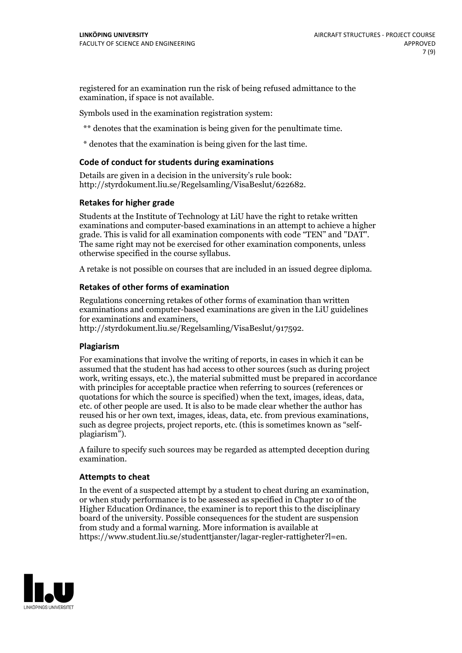registered for an examination run the risk of being refused admittance to the examination, if space is not available.

Symbols used in the examination registration system:

\*\* denotes that the examination is being given for the penultimate time.

\* denotes that the examination is being given for the last time.

#### **Code of conduct for students during examinations**

Details are given in a decision in the university's rule book: http://styrdokument.liu.se/Regelsamling/VisaBeslut/622682.

#### **Retakes for higher grade**

Students at the Institute of Technology at LiU have the right to retake written examinations and computer-based examinations in an attempt to achieve a higher grade. This is valid for all examination components with code "TEN" and "DAT". The same right may not be exercised for other examination components, unless otherwise specified in the course syllabus.

A retake is not possible on courses that are included in an issued degree diploma.

#### **Retakes of other forms of examination**

Regulations concerning retakes of other forms of examination than written examinations and computer-based examinations are given in the LiU guidelines

http://styrdokument.liu.se/Regelsamling/VisaBeslut/917592.

#### **Plagiarism**

For examinations that involve the writing of reports, in cases in which it can be assumed that the student has had access to other sources (such as during project work, writing essays, etc.), the material submitted must be prepared in accordance with principles for acceptable practice when referring to sources (references or quotations for which the source is specified) when the text, images, ideas, data,  $\vec{e}$  etc. of other people are used. It is also to be made clear whether the author has reused his or her own text, images, ideas, data, etc. from previous examinations, such as degree projects, project reports, etc. (this is sometimes known as "self- plagiarism").

A failure to specify such sources may be regarded as attempted deception during examination.

#### **Attempts to cheat**

In the event of <sup>a</sup> suspected attempt by <sup>a</sup> student to cheat during an examination, or when study performance is to be assessed as specified in Chapter <sup>10</sup> of the Higher Education Ordinance, the examiner is to report this to the disciplinary board of the university. Possible consequences for the student are suspension from study and a formal warning. More information is available at https://www.student.liu.se/studenttjanster/lagar-regler-rattigheter?l=en.

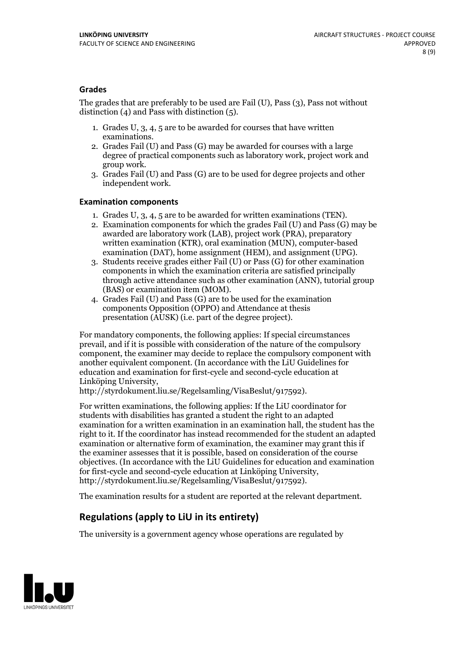#### **Grades**

The grades that are preferably to be used are Fail (U), Pass (3), Pass not without distinction  $(4)$  and Pass with distinction  $(5)$ .

- 1. Grades U, 3, 4, 5 are to be awarded for courses that have written
- examinations. 2. Grades Fail (U) and Pass (G) may be awarded for courses with <sup>a</sup> large degree of practical components such as laboratory work, project work and group work. 3. Grades Fail (U) and Pass (G) are to be used for degree projects and other
- independent work.

#### **Examination components**

- 
- 1. Grades U, 3, 4, <sup>5</sup> are to be awarded for written examinations (TEN). 2. Examination components for which the grades Fail (U) and Pass (G) may be awarded are laboratory work (LAB), project work (PRA), preparatory written examination (KTR), oral examination (MUN), computer-based
- examination (DAT), home assignment (HEM), and assignment (UPG). 3. Students receive grades either Fail (U) or Pass (G) for other examination components in which the examination criteria are satisfied principally through active attendance such as other examination (ANN), tutorial group (BAS) or examination item (MOM). 4. Grades Fail (U) and Pass (G) are to be used for the examination
- components Opposition (OPPO) and Attendance at thesis presentation (AUSK) (i.e. part of the degree project).

For mandatory components, the following applies: If special circumstances prevail, and if it is possible with consideration of the nature of the compulsory component, the examiner may decide to replace the compulsory component with another equivalent component. (In accordance with the LiU Guidelines for education and examination for first-cycle and second-cycle education at Linköping University, http://styrdokument.liu.se/Regelsamling/VisaBeslut/917592).

For written examinations, the following applies: If the LiU coordinator for students with disabilities has granted a student the right to an adapted examination for a written examination in an examination hall, the student has the right to it. If the coordinator has instead recommended for the student an adapted examination or alternative form of examination, the examiner may grant this if the examiner assesses that it is possible, based on consideration of the course objectives. (In accordance with the LiU Guidelines for education and examination for first-cycle and second-cycle education at Linköping University, http://styrdokument.liu.se/Regelsamling/VisaBeslut/917592).

The examination results for a student are reported at the relevant department.

### **Regulations (applyto LiU in its entirety)**

The university is a government agency whose operations are regulated by